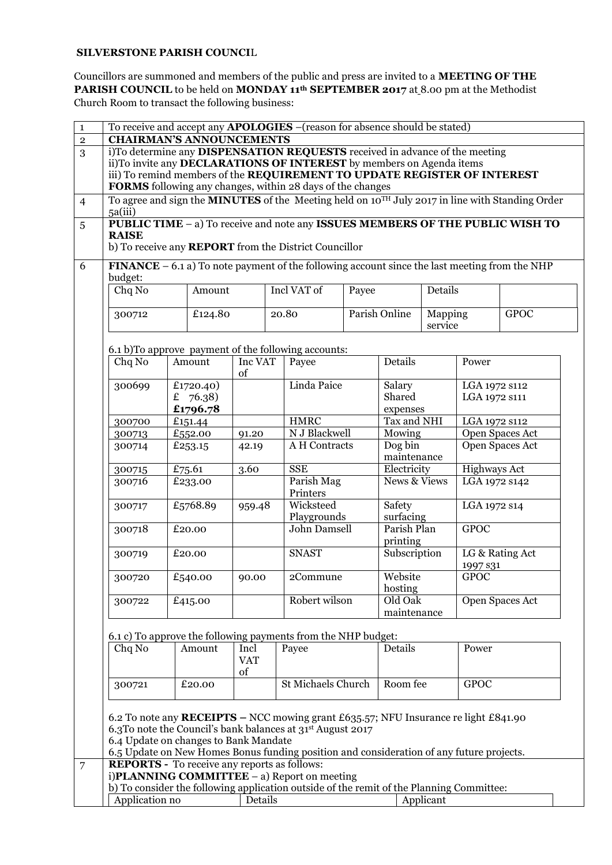## **SILVERSTONE PARISH COUNCI**L

Councillors are summoned and members of the public and press are invited to a **MEETING OF THE PARISH COUNCIL** to be held on **MONDAY 11th SEPTEMBER 2017** at 8.00 pm at the Methodist Church Room to transact the following business:

|                                                                                                                                                                                 |                    |                           |                   | i)To determine any DISPENSATION REQUESTS received in advance of the meeting<br>ii)To invite any DECLARATIONS OF INTEREST by members on Agenda items                                                                                                                                                              |                              |                                     |                     |                             |                                  |  |
|---------------------------------------------------------------------------------------------------------------------------------------------------------------------------------|--------------------|---------------------------|-------------------|------------------------------------------------------------------------------------------------------------------------------------------------------------------------------------------------------------------------------------------------------------------------------------------------------------------|------------------------------|-------------------------------------|---------------------|-----------------------------|----------------------------------|--|
|                                                                                                                                                                                 |                    |                           |                   | iii) To remind members of the REQUIREMENT TO UPDATE REGISTER OF INTEREST                                                                                                                                                                                                                                         |                              |                                     |                     |                             |                                  |  |
|                                                                                                                                                                                 |                    |                           |                   |                                                                                                                                                                                                                                                                                                                  |                              |                                     |                     |                             |                                  |  |
| FORMS following any changes, within 28 days of the changes<br>To agree and sign the <b>MINUTES</b> of the Meeting held on 10TH July 2017 in line with Standing Order<br>5a(iii) |                    |                           |                   |                                                                                                                                                                                                                                                                                                                  |                              |                                     |                     |                             |                                  |  |
|                                                                                                                                                                                 |                    |                           |                   | PUBLIC TIME - a) To receive and note any ISSUES MEMBERS OF THE PUBLIC WISH TO                                                                                                                                                                                                                                    |                              |                                     |                     |                             |                                  |  |
| <b>RAISE</b>                                                                                                                                                                    |                    |                           |                   | b) To receive any <b>REPORT</b> from the District Councillor                                                                                                                                                                                                                                                     |                              |                                     |                     |                             |                                  |  |
|                                                                                                                                                                                 |                    |                           |                   |                                                                                                                                                                                                                                                                                                                  |                              |                                     |                     |                             |                                  |  |
| budget:                                                                                                                                                                         |                    |                           |                   | <b>FINANCE</b> – 6.1 a) To note payment of the following account since the last meeting from the NHP                                                                                                                                                                                                             |                              |                                     |                     |                             |                                  |  |
| Chq No                                                                                                                                                                          |                    | Amount                    |                   | Incl VAT of                                                                                                                                                                                                                                                                                                      | Payee                        | Details                             |                     |                             |                                  |  |
|                                                                                                                                                                                 |                    |                           |                   |                                                                                                                                                                                                                                                                                                                  |                              |                                     |                     |                             |                                  |  |
| 300712                                                                                                                                                                          |                    | £124.80                   |                   | 20.80                                                                                                                                                                                                                                                                                                            |                              | Parish Online<br>Mapping<br>service |                     |                             | <b>GPOC</b>                      |  |
|                                                                                                                                                                                 |                    |                           |                   |                                                                                                                                                                                                                                                                                                                  |                              |                                     |                     |                             |                                  |  |
|                                                                                                                                                                                 |                    |                           |                   | 6.1 b)To approve payment of the following accounts:                                                                                                                                                                                                                                                              |                              |                                     |                     |                             |                                  |  |
| Chq No                                                                                                                                                                          | Amount             |                           | Inc VAT           | Payee                                                                                                                                                                                                                                                                                                            |                              | Details                             |                     | Power                       |                                  |  |
| 300699                                                                                                                                                                          |                    | £1720.40)                 | of                | Linda Paice                                                                                                                                                                                                                                                                                                      |                              | Salary                              |                     | LGA 1972 s112               |                                  |  |
|                                                                                                                                                                                 |                    | £ 76.38)                  |                   |                                                                                                                                                                                                                                                                                                                  |                              | Shared                              |                     | LGA 1972 S111               |                                  |  |
|                                                                                                                                                                                 |                    | £1796.78                  |                   |                                                                                                                                                                                                                                                                                                                  |                              | expenses                            |                     |                             |                                  |  |
| 300700                                                                                                                                                                          |                    | £151.44                   |                   |                                                                                                                                                                                                                                                                                                                  | <b>HMRC</b><br>N J Blackwell |                                     | Tax and NHI         |                             | LGA 1972 s112<br>Open Spaces Act |  |
| 300713<br>300714                                                                                                                                                                | £552.00<br>£253.15 |                           | 91.20<br>42.19    |                                                                                                                                                                                                                                                                                                                  | A H Contracts                |                                     | Mowing<br>Dog bin   |                             | Open Spaces Act                  |  |
|                                                                                                                                                                                 |                    |                           |                   |                                                                                                                                                                                                                                                                                                                  |                              | maintenance                         |                     |                             |                                  |  |
| 300715                                                                                                                                                                          |                    | £75.61                    |                   | ${\rm SSE}$<br>3.60                                                                                                                                                                                                                                                                                              |                              | Electricity                         |                     | <b>Highways Act</b>         |                                  |  |
| 300716                                                                                                                                                                          |                    | £233.00                   |                   | Parish Mag<br>Printers                                                                                                                                                                                                                                                                                           |                              | <b>News &amp; Views</b>             |                     | LGA 1972 s142               |                                  |  |
| 300717                                                                                                                                                                          | £5768.89           |                           | 959.48            |                                                                                                                                                                                                                                                                                                                  | Wicksteed<br>Playgrounds     |                                     | Safety<br>surfacing |                             | LGA 1972 s14                     |  |
| 300718                                                                                                                                                                          | £20.00             |                           |                   | John Damsell                                                                                                                                                                                                                                                                                                     |                              | Parish Plan<br>printing             |                     | <b>GPOC</b>                 |                                  |  |
| 300719                                                                                                                                                                          | £20.00             |                           |                   | <b>SNAST</b>                                                                                                                                                                                                                                                                                                     |                              | Subscription                        |                     | LG & Rating Act<br>1997 s31 |                                  |  |
| 300720                                                                                                                                                                          | £540.00            |                           | 2Commune<br>90.00 |                                                                                                                                                                                                                                                                                                                  |                              | Website                             | <b>GPOC</b>         |                             |                                  |  |
| 300722                                                                                                                                                                          | £415.00            |                           |                   | Robert wilson                                                                                                                                                                                                                                                                                                    |                              | hosting<br>Old Oak                  |                     | Open Spaces Act             |                                  |  |
|                                                                                                                                                                                 |                    |                           |                   |                                                                                                                                                                                                                                                                                                                  |                              | maintenance                         |                     |                             |                                  |  |
|                                                                                                                                                                                 |                    |                           |                   |                                                                                                                                                                                                                                                                                                                  |                              |                                     |                     |                             |                                  |  |
| Chq No                                                                                                                                                                          |                    | Amount                    | Incl              | 6.1 c) To approve the following payments from the NHP budget:<br>Payee                                                                                                                                                                                                                                           |                              | Details                             |                     | Power                       |                                  |  |
|                                                                                                                                                                                 |                    |                           | <b>VAT</b><br>of  |                                                                                                                                                                                                                                                                                                                  |                              |                                     |                     |                             |                                  |  |
| £20.00<br>300721                                                                                                                                                                |                    | <b>St Michaels Church</b> |                   |                                                                                                                                                                                                                                                                                                                  | Room fee                     |                                     | <b>GPOC</b>         |                             |                                  |  |
| 6.4 Update on changes to Bank Mandate                                                                                                                                           |                    |                           |                   | 6.2 To note any RECEIPTS – NCC mowing grant £635.57; NFU Insurance re light £841.90<br>6.3To note the Council's bank balances at 31 <sup>st</sup> August 2017<br>6.5 Update on New Homes Bonus funding position and consideration of any future projects.<br><b>REPORTS</b> - To receive any reports as follows: |                              |                                     |                     |                             |                                  |  |
|                                                                                                                                                                                 |                    |                           |                   | i) $PLANNING$ COMMITTEE $-$ a) Report on meeting                                                                                                                                                                                                                                                                 |                              |                                     |                     |                             |                                  |  |
|                                                                                                                                                                                 |                    |                           |                   | b) To consider the following application outside of the remit of the Planning Committee:                                                                                                                                                                                                                         |                              |                                     |                     |                             |                                  |  |
| Application no                                                                                                                                                                  |                    |                           | Details           |                                                                                                                                                                                                                                                                                                                  |                              |                                     | Applicant           |                             |                                  |  |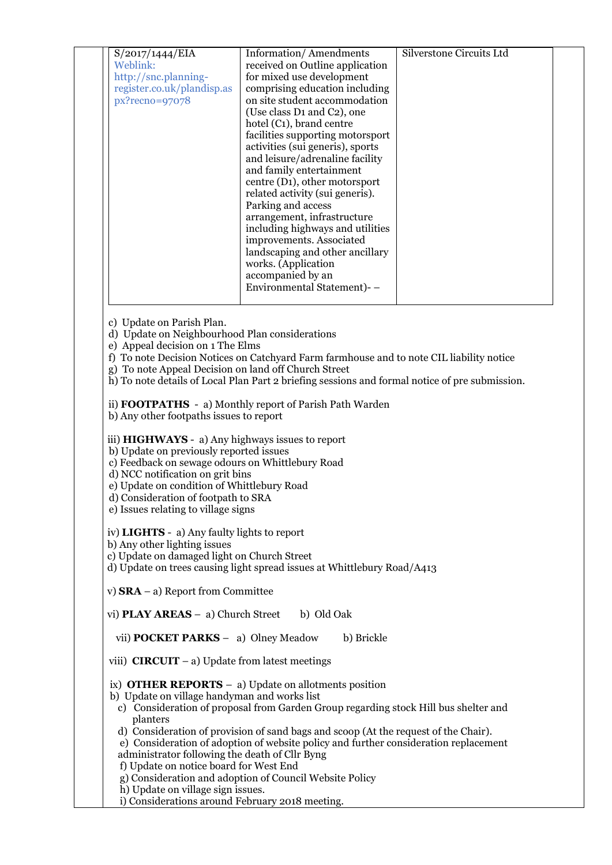| S/2017/1444/EIA            | <b>Information/Amendments</b>                       | Silverstone Circuits Ltd |
|----------------------------|-----------------------------------------------------|--------------------------|
| Weblink:                   | received on Outline application                     |                          |
| http://snc.planning-       | for mixed use development                           |                          |
| register.co.uk/plandisp.as | comprising education including                      |                          |
| px?recno=97078             | on site student accommodation                       |                          |
|                            | (Use class D <sub>1</sub> and C <sub>2</sub> ), one |                          |
|                            | hotel (C <sub>1</sub> ), brand centre               |                          |
|                            | facilities supporting motorsport                    |                          |
|                            | activities (sui generis), sports                    |                          |
|                            | and leisure/adrenaline facility                     |                          |
|                            | and family entertainment                            |                          |
|                            | centre (D1), other motorsport                       |                          |
|                            | related activity (sui generis).                     |                          |
|                            | Parking and access                                  |                          |
|                            | arrangement, infrastructure                         |                          |
|                            | including highways and utilities                    |                          |
|                            | improvements. Associated                            |                          |
|                            | landscaping and other ancillary                     |                          |
|                            | works. (Application                                 |                          |
|                            | accompanied by an                                   |                          |
|                            | Environmental Statement)--                          |                          |
|                            |                                                     |                          |

- c) Update on Parish Plan.
- d) Update on Neighbourhood Plan considerations
- e) Appeal decision on 1 The Elms
- f) To note Decision Notices on Catchyard Farm farmhouse and to note CIL liability notice
- g) To note Appeal Decision on land off Church Street
- h) To note details of Local Plan Part 2 briefing sessions and formal notice of pre submission.

ii) **FOOTPATHS** - a) Monthly report of Parish Path Warden b) Any other footpaths issues to report

 iii) **HIGHWAYS** - a) Any highways issues to report b) Update on previously reported issues

c) Feedback on sewage odours on Whittlebury Road

d) NCC notification on grit bins

e) Update on condition of Whittlebury Road

- d) Consideration of footpath to SRA
- e) Issues relating to village signs

iv) **LIGHTS** - a) Any faulty lights to report

b) Any other lighting issues

c) Update on damaged light on Church Street

d) Update on trees causing light spread issues at Whittlebury Road/A413

v) **SRA** – a) Report from Committee

vi) **PLAY AREAS** – a) Church Street b) Old Oak

vii) **POCKET PARKS** – a) Olney Meadow b) Brickle

viii) **CIRCUIT** – a) Update from latest meetings

ix) **OTHER REPORTS** – a) Update on allotments position

b) Update on village handyman and works list

- c) Consideration of proposal from Garden Group regarding stock Hill bus shelter and planters
- d) Consideration of provision of sand bags and scoop (At the request of the Chair).
- e) Consideration of adoption of website policy and further consideration replacement
- administrator following the death of Cllr Byng
- f) Update on notice board for West End
- g) Consideration and adoption of Council Website Policy
- h) Update on village sign issues.
- i) Considerations around February 2018 meeting.